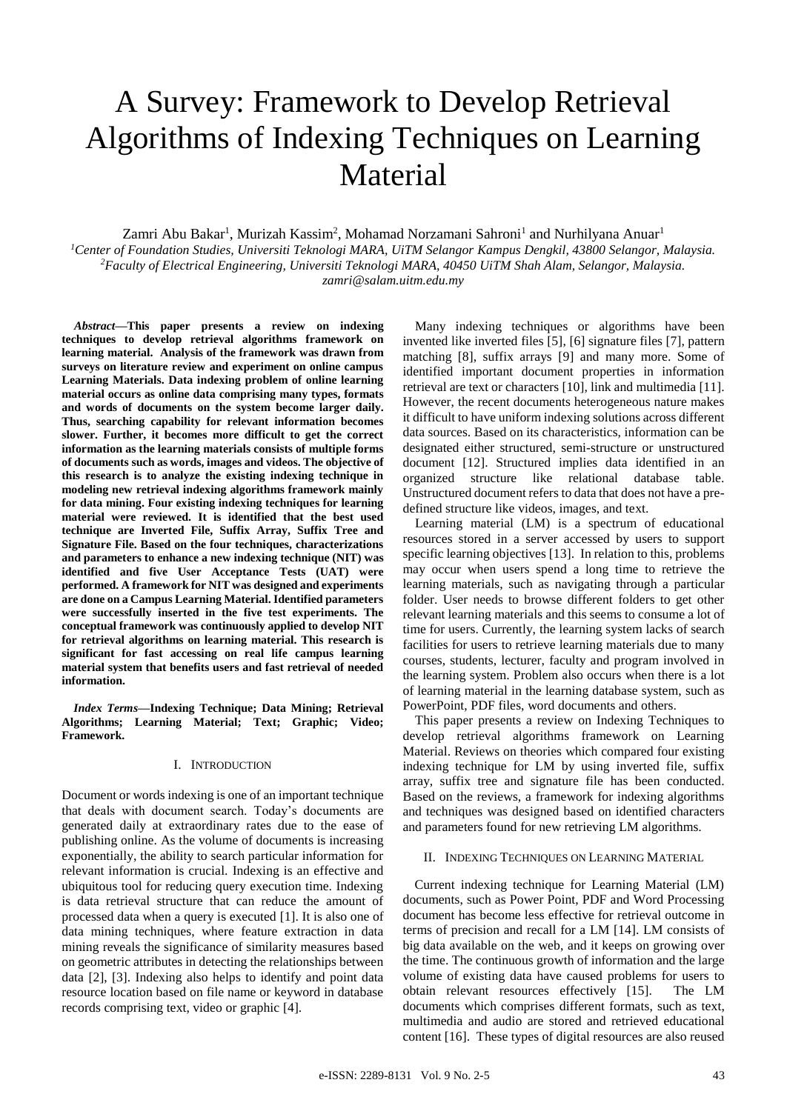# A Survey: Framework to Develop Retrieval Algorithms of Indexing Techniques on Learning Material

Zamri Abu Bakar<sup>1</sup>, Murizah Kassim<sup>2</sup>, Mohamad Norzamani Sahroni<sup>1</sup> and Nurhilyana Anuar<sup>1</sup> *<sup>1</sup>Center of Foundation Studies, Universiti Teknologi MARA, UiTM Selangor Kampus Dengkil, 43800 Selangor, Malaysia. <sup>2</sup>Faculty of Electrical Engineering, Universiti Teknologi MARA, 40450 UiTM Shah Alam, Selangor, Malaysia. zamri@salam.uitm.edu.my*

*Abstract***—This paper presents a review on indexing techniques to develop retrieval algorithms framework on learning material. Analysis of the framework was drawn from surveys on literature review and experiment on online campus Learning Materials. Data indexing problem of online learning material occurs as online data comprising many types, formats and words of documents on the system become larger daily. Thus, searching capability for relevant information becomes slower. Further, it becomes more difficult to get the correct information as the learning materials consists of multiple forms of documents such as words, images and videos. The objective of this research is to analyze the existing indexing technique in modeling new retrieval indexing algorithms framework mainly for data mining. Four existing indexing techniques for learning material were reviewed. It is identified that the best used technique are Inverted File, Suffix Array, Suffix Tree and Signature File. Based on the four techniques, characterizations and parameters to enhance a new indexing technique (NIT) was identified and five User Acceptance Tests (UAT) were performed. A framework for NIT was designed and experiments are done on a Campus Learning Material. Identified parameters were successfully inserted in the five test experiments. The conceptual framework was continuously applied to develop NIT for retrieval algorithms on learning material. This research is significant for fast accessing on real life campus learning material system that benefits users and fast retrieval of needed information.**

*Index Terms***—Indexing Technique; Data Mining; Retrieval Algorithms; Learning Material; Text; Graphic; Video; Framework.**

## I. INTRODUCTION

Document or words indexing is one of an important technique that deals with document search. Today's documents are generated daily at extraordinary rates due to the ease of publishing online. As the volume of documents is increasing exponentially, the ability to search particular information for relevant information is crucial. Indexing is an effective and ubiquitous tool for reducing query execution time. Indexing is data retrieval structure that can reduce the amount of processed data when a query is executed [1]. It is also one of data mining techniques, where feature extraction in data mining reveals the significance of similarity measures based on geometric attributes in detecting the relationships between data [2], [3]. Indexing also helps to identify and point data resource location based on file name or keyword in database records comprising text, video or graphic [4].

Many indexing techniques or algorithms have been invented like inverted files [5], [6] signature files [7], pattern matching [8], suffix arrays [9] and many more. Some of identified important document properties in information retrieval are text or characters [10], link and multimedia [11]. However, the recent documents heterogeneous nature makes it difficult to have uniform indexing solutions across different data sources. Based on its characteristics, information can be designated either structured, semi-structure or unstructured document [12]. Structured implies data identified in an organized structure like relational database table. Unstructured document refers to data that does not have a predefined structure like videos, images, and text.

Learning material (LM) is a spectrum of educational resources stored in a server accessed by users to support specific learning objectives [13]. In relation to this, problems may occur when users spend a long time to retrieve the learning materials, such as navigating through a particular folder. User needs to browse different folders to get other relevant learning materials and this seems to consume a lot of time for users. Currently, the learning system lacks of search facilities for users to retrieve learning materials due to many courses, students, lecturer, faculty and program involved in the learning system. Problem also occurs when there is a lot of learning material in the learning database system, such as PowerPoint, PDF files, word documents and others.

This paper presents a review on Indexing Techniques to develop retrieval algorithms framework on Learning Material. Reviews on theories which compared four existing indexing technique for LM by using inverted file, suffix array, suffix tree and signature file has been conducted. Based on the reviews, a framework for indexing algorithms and techniques was designed based on identified characters and parameters found for new retrieving LM algorithms.

#### II. INDEXING TECHNIQUES ON LEARNING MATERIAL

Current indexing technique for Learning Material (LM) documents, such as Power Point, PDF and Word Processing document has become less effective for retrieval outcome in terms of precision and recall for a LM [14]. LM consists of big data available on the web, and it keeps on growing over the time. The continuous growth of information and the large volume of existing data have caused problems for users to obtain relevant resources effectively [15]. The LM documents which comprises different formats, such as text, multimedia and audio are stored and retrieved educational content [16]. These types of digital resources are also reused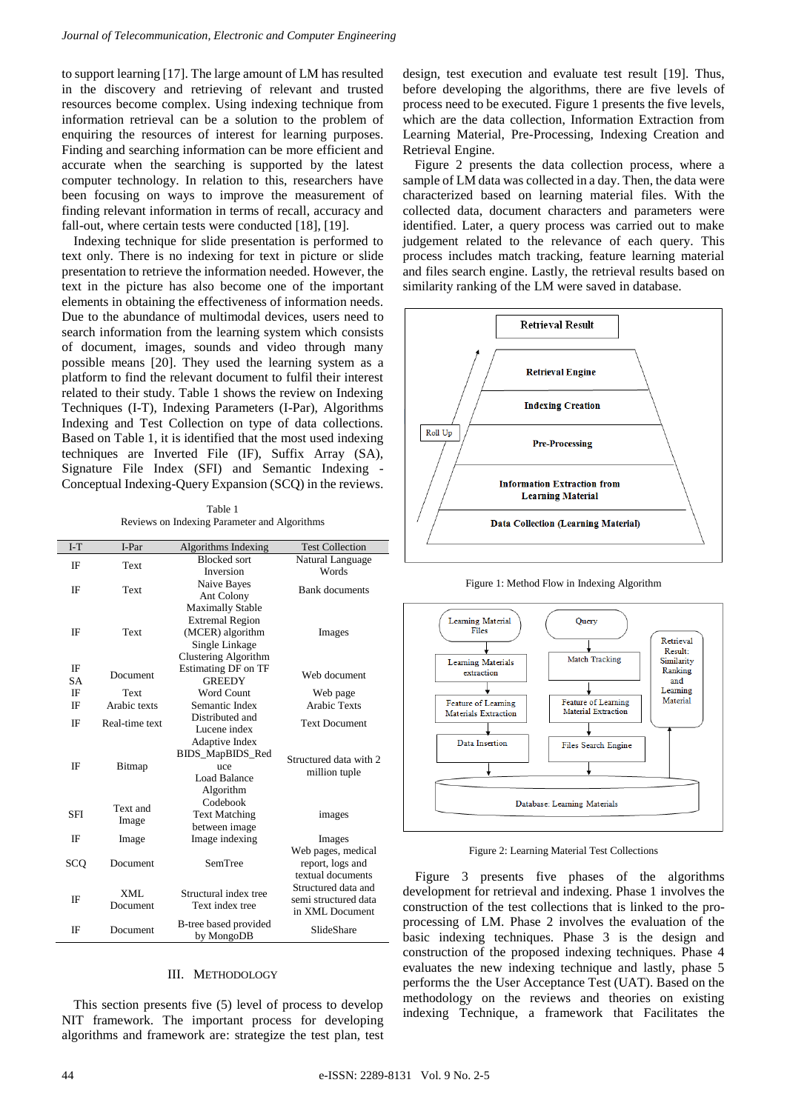to support learning [17]. The large amount of LM has resulted in the discovery and retrieving of relevant and trusted resources become complex. Using indexing technique from information retrieval can be a solution to the problem of enquiring the resources of interest for learning purposes. Finding and searching information can be more efficient and accurate when the searching is supported by the latest computer technology. In relation to this, researchers have been focusing on ways to improve the measurement of finding relevant information in terms of recall, accuracy and fall-out, where certain tests were conducted [18], [19].

Indexing technique for slide presentation is performed to text only. There is no indexing for text in picture or slide presentation to retrieve the information needed. However, the text in the picture has also become one of the important elements in obtaining the effectiveness of information needs. Due to the abundance of multimodal devices, users need to search information from the learning system which consists of document, images, sounds and video through many possible means [20]. They used the learning system as a platform to find the relevant document to fulfil their interest related to their study. Table 1 shows the review on Indexing Techniques (I-T), Indexing Parameters (I-Par), Algorithms Indexing and Test Collection on type of data collections. Based on Table 1, it is identified that the most used indexing techniques are Inverted File (IF), Suffix Array (SA), Signature File Index (SFI) and Semantic Indexing - Conceptual Indexing-Query Expansion (SCQ) in the reviews.

Table 1 Reviews on Indexing Parameter and Algorithms

| $I-T$      | I-Par             | Algorithms Indexing                      | <b>Test Collection</b>                  |
|------------|-------------------|------------------------------------------|-----------------------------------------|
| ΙF         | Text              | <b>Blocked</b> sort                      | Natural Language                        |
|            |                   | Inversion                                | Words                                   |
| ΙF         | Text              | Naive Bayes                              | <b>Bank</b> documents                   |
|            |                   | Ant Colony                               |                                         |
|            |                   | <b>Maximally Stable</b>                  |                                         |
| ΙF         | Text              | <b>Extremal Region</b>                   | Images                                  |
|            |                   | (MCER) algorithm                         |                                         |
|            |                   | Single Linkage                           |                                         |
|            |                   | Clustering Algorithm                     |                                         |
| IF         | Document          | <b>Estimating DF on TF</b>               | Web document                            |
| <b>SA</b>  |                   | <b>GREEDY</b>                            |                                         |
| IF         | Text              | Word Count                               | Web page                                |
| ΙF         | Arabic texts      | Semantic Index                           | <b>Arabic Texts</b>                     |
| ΙF         | Real-time text    | Distributed and                          | <b>Text Document</b>                    |
|            |                   | Lucene index                             |                                         |
| ΙF         | Bitmap            | Adaptive Index                           | Structured data with 2<br>million tuple |
|            |                   | BIDS_MapBIDS_Red                         |                                         |
|            |                   | uce                                      |                                         |
|            |                   | Load Balance                             |                                         |
|            |                   | Algorithm                                |                                         |
| <b>SFI</b> | Text and<br>Image | Codebook                                 |                                         |
|            |                   | <b>Text Matching</b>                     | images                                  |
|            |                   | between image                            |                                         |
| IF         | Image             | Image indexing                           | Images                                  |
| sco        | Document          | SemTree                                  | Web pages, medical                      |
|            |                   |                                          | report, logs and<br>textual documents   |
|            |                   |                                          | Structured data and                     |
| ΙF         | XML               | Structural index tree<br>Text index tree | semi structured data                    |
|            | Document          |                                          | in XML Document                         |
|            |                   | B-tree based provided                    |                                         |
| IF         | Document          | by MongoDB                               | SlideShare                              |
|            |                   |                                          |                                         |

## III. METHODOLOGY

This section presents five (5) level of process to develop NIT framework. The important process for developing algorithms and framework are: strategize the test plan, test design, test execution and evaluate test result [19]. Thus, before developing the algorithms, there are five levels of process need to be executed. Figure 1 presents the five levels, which are the data collection, Information Extraction from Learning Material, Pre-Processing, Indexing Creation and Retrieval Engine.

Figure 2 presents the data collection process, where a sample of LM data was collected in a day. Then, the data were characterized based on learning material files. With the collected data, document characters and parameters were identified. Later, a query process was carried out to make judgement related to the relevance of each query. This process includes match tracking, feature learning material and files search engine. Lastly, the retrieval results based on similarity ranking of the LM were saved in database.



Figure 1: Method Flow in Indexing Algorithm



Figure 2: Learning Material Test Collections

Figure 3 presents five phases of the algorithms development for retrieval and indexing. Phase 1 involves the construction of the test collections that is linked to the proprocessing of LM. Phase 2 involves the evaluation of the basic indexing techniques. Phase 3 is the design and construction of the proposed indexing techniques. Phase 4 evaluates the new indexing technique and lastly, phase 5 performs the the User Acceptance Test (UAT). Based on the methodology on the reviews and theories on existing indexing Technique, a framework that Facilitates the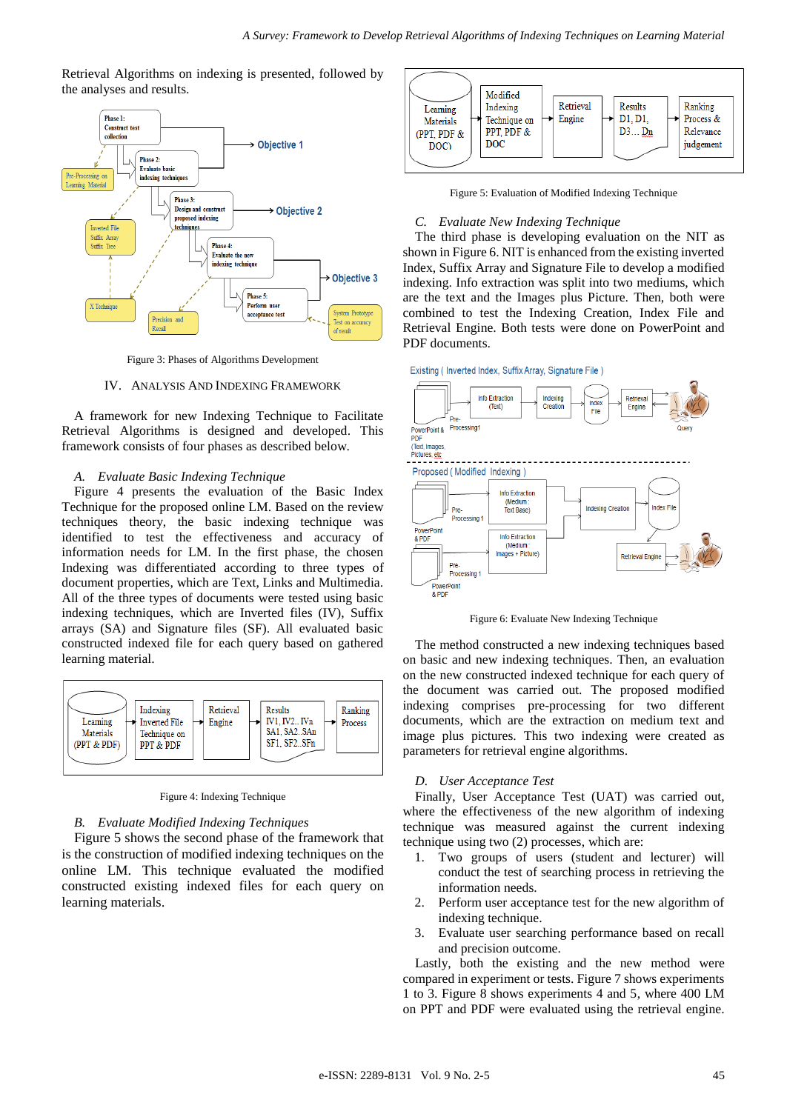Retrieval Algorithms on indexing is presented, followed by the analyses and results.



Figure 3: Phases of Algorithms Development

## IV. ANALYSIS AND INDEXING FRAMEWORK

A framework for new Indexing Technique to Facilitate Retrieval Algorithms is designed and developed. This framework consists of four phases as described below.

#### *A. Evaluate Basic Indexing Technique*

Figure 4 presents the evaluation of the Basic Index Technique for the proposed online LM. Based on the review techniques theory, the basic indexing technique was identified to test the effectiveness and accuracy of information needs for LM. In the first phase, the chosen Indexing was differentiated according to three types of document properties, which are Text, Links and Multimedia. All of the three types of documents were tested using basic indexing techniques, which are Inverted files (IV), Suffix arrays (SA) and Signature files (SF). All evaluated basic constructed indexed file for each query based on gathered learning material.



Figure 4: Indexing Technique

## *B. Evaluate Modified Indexing Techniques*

Figure 5 shows the second phase of the framework that is the construction of modified indexing techniques on the online LM. This technique evaluated the modified constructed existing indexed files for each query on learning materials.



Figure 5: Evaluation of Modified Indexing Technique

## *C. Evaluate New Indexing Technique*

The third phase is developing evaluation on the NIT as shown in Figure 6. NIT is enhanced from the existing inverted Index, Suffix Array and Signature File to develop a modified indexing. Info extraction was split into two mediums, which are the text and the Images plus Picture. Then, both were combined to test the Indexing Creation, Index File and Retrieval Engine. Both tests were done on PowerPoint and PDF documents.

Existing (Inverted Index, Suffix Array, Signature File)



Figure 6: Evaluate New Indexing Technique

The method constructed a new indexing techniques based on basic and new indexing techniques. Then, an evaluation on the new constructed indexed technique for each query of the document was carried out. The proposed modified indexing comprises pre-processing for two different documents, which are the extraction on medium text and image plus pictures. This two indexing were created as parameters for retrieval engine algorithms.

## *D. User Acceptance Test*

Finally, User Acceptance Test (UAT) was carried out, where the effectiveness of the new algorithm of indexing technique was measured against the current indexing technique using two (2) processes, which are:

- 1. Two groups of users (student and lecturer) will conduct the test of searching process in retrieving the information needs.
- 2. Perform user acceptance test for the new algorithm of indexing technique.
- 3. Evaluate user searching performance based on recall and precision outcome.

Lastly, both the existing and the new method were compared in experiment or tests. Figure 7 shows experiments 1 to 3. Figure 8 shows experiments 4 and 5, where 400 LM on PPT and PDF were evaluated using the retrieval engine.